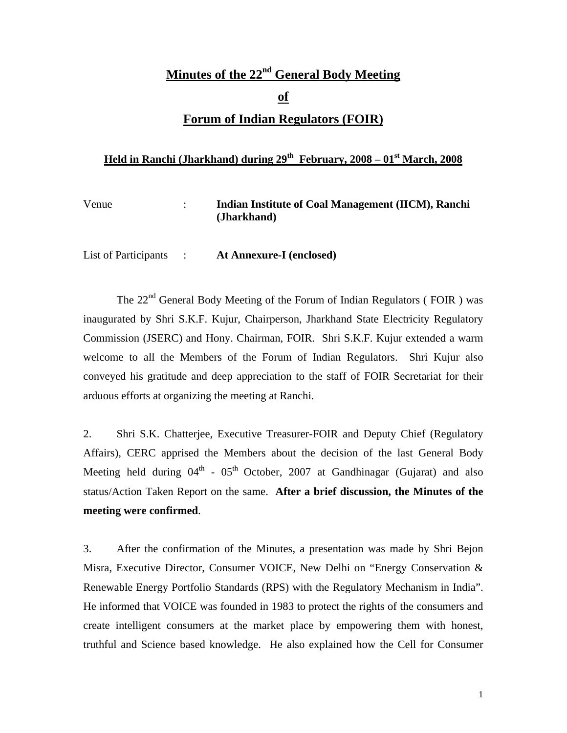# **Minutes of the 22nd General Body Meeting of Forum of Indian Regulators (FOIR)**

### Held in Ranchi (Jharkhand) during 29<sup>th</sup> February, 2008 – 01<sup>st</sup> March, 2008

| Venue | Indian Institute of Coal Management (IICM), Ranchi |
|-------|----------------------------------------------------|
|       | (Jharkhand)                                        |
|       |                                                    |

List of Participants : **At Annexure-I (enclosed)**

The  $22<sup>nd</sup>$  General Body Meeting of the Forum of Indian Regulators (FOIR) was inaugurated by Shri S.K.F. Kujur, Chairperson, Jharkhand State Electricity Regulatory Commission (JSERC) and Hony. Chairman, FOIR. Shri S.K.F. Kujur extended a warm welcome to all the Members of the Forum of Indian Regulators. Shri Kujur also conveyed his gratitude and deep appreciation to the staff of FOIR Secretariat for their arduous efforts at organizing the meeting at Ranchi.

2. Shri S.K. Chatterjee, Executive Treasurer-FOIR and Deputy Chief (Regulatory Affairs), CERC apprised the Members about the decision of the last General Body Meeting held during  $04<sup>th</sup>$  -  $05<sup>th</sup>$  October, 2007 at Gandhinagar (Gujarat) and also status/Action Taken Report on the same. **After a brief discussion, the Minutes of the meeting were confirmed**.

3. After the confirmation of the Minutes, a presentation was made by Shri Bejon Misra, Executive Director, Consumer VOICE, New Delhi on "Energy Conservation & Renewable Energy Portfolio Standards (RPS) with the Regulatory Mechanism in India". He informed that VOICE was founded in 1983 to protect the rights of the consumers and create intelligent consumers at the market place by empowering them with honest, truthful and Science based knowledge. He also explained how the Cell for Consumer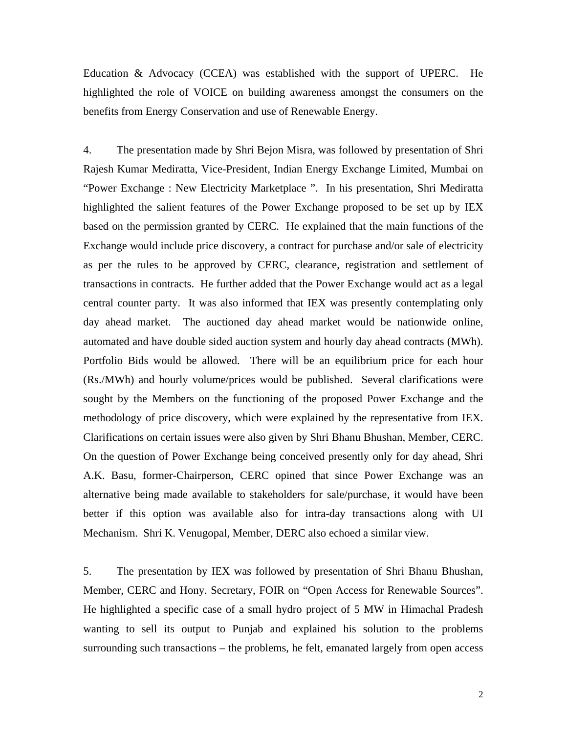Education & Advocacy (CCEA) was established with the support of UPERC. He highlighted the role of VOICE on building awareness amongst the consumers on the benefits from Energy Conservation and use of Renewable Energy.

4. The presentation made by Shri Bejon Misra, was followed by presentation of Shri Rajesh Kumar Mediratta, Vice-President, Indian Energy Exchange Limited, Mumbai on "Power Exchange : New Electricity Marketplace ". In his presentation, Shri Mediratta highlighted the salient features of the Power Exchange proposed to be set up by IEX based on the permission granted by CERC. He explained that the main functions of the Exchange would include price discovery, a contract for purchase and/or sale of electricity as per the rules to be approved by CERC, clearance, registration and settlement of transactions in contracts. He further added that the Power Exchange would act as a legal central counter party. It was also informed that IEX was presently contemplating only day ahead market. The auctioned day ahead market would be nationwide online, automated and have double sided auction system and hourly day ahead contracts (MWh). Portfolio Bids would be allowed. There will be an equilibrium price for each hour (Rs./MWh) and hourly volume/prices would be published. Several clarifications were sought by the Members on the functioning of the proposed Power Exchange and the methodology of price discovery, which were explained by the representative from IEX. Clarifications on certain issues were also given by Shri Bhanu Bhushan, Member, CERC. On the question of Power Exchange being conceived presently only for day ahead, Shri A.K. Basu, former-Chairperson, CERC opined that since Power Exchange was an alternative being made available to stakeholders for sale/purchase, it would have been better if this option was available also for intra-day transactions along with UI Mechanism. Shri K. Venugopal, Member, DERC also echoed a similar view.

5. The presentation by IEX was followed by presentation of Shri Bhanu Bhushan, Member, CERC and Hony. Secretary, FOIR on "Open Access for Renewable Sources". He highlighted a specific case of a small hydro project of 5 MW in Himachal Pradesh wanting to sell its output to Punjab and explained his solution to the problems surrounding such transactions – the problems, he felt, emanated largely from open access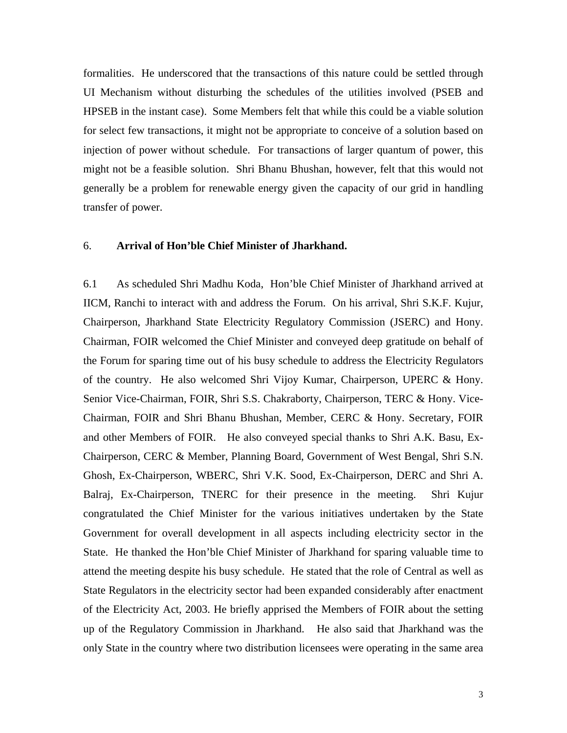formalities. He underscored that the transactions of this nature could be settled through UI Mechanism without disturbing the schedules of the utilities involved (PSEB and HPSEB in the instant case). Some Members felt that while this could be a viable solution for select few transactions, it might not be appropriate to conceive of a solution based on injection of power without schedule. For transactions of larger quantum of power, this might not be a feasible solution. Shri Bhanu Bhushan, however, felt that this would not generally be a problem for renewable energy given the capacity of our grid in handling transfer of power.

#### 6. **Arrival of Hon'ble Chief Minister of Jharkhand.**

6.1 As scheduled Shri Madhu Koda, Hon'ble Chief Minister of Jharkhand arrived at IICM, Ranchi to interact with and address the Forum. On his arrival, Shri S.K.F. Kujur, Chairperson, Jharkhand State Electricity Regulatory Commission (JSERC) and Hony. Chairman, FOIR welcomed the Chief Minister and conveyed deep gratitude on behalf of the Forum for sparing time out of his busy schedule to address the Electricity Regulators of the country. He also welcomed Shri Vijoy Kumar, Chairperson, UPERC & Hony. Senior Vice-Chairman, FOIR, Shri S.S. Chakraborty, Chairperson, TERC & Hony. Vice-Chairman, FOIR and Shri Bhanu Bhushan, Member, CERC & Hony. Secretary, FOIR and other Members of FOIR. He also conveyed special thanks to Shri A.K. Basu, Ex-Chairperson, CERC & Member, Planning Board, Government of West Bengal, Shri S.N. Ghosh, Ex-Chairperson, WBERC, Shri V.K. Sood, Ex-Chairperson, DERC and Shri A. Balraj, Ex-Chairperson, TNERC for their presence in the meeting. Shri Kujur congratulated the Chief Minister for the various initiatives undertaken by the State Government for overall development in all aspects including electricity sector in the State. He thanked the Hon'ble Chief Minister of Jharkhand for sparing valuable time to attend the meeting despite his busy schedule. He stated that the role of Central as well as State Regulators in the electricity sector had been expanded considerably after enactment of the Electricity Act, 2003. He briefly apprised the Members of FOIR about the setting up of the Regulatory Commission in Jharkhand. He also said that Jharkhand was the only State in the country where two distribution licensees were operating in the same area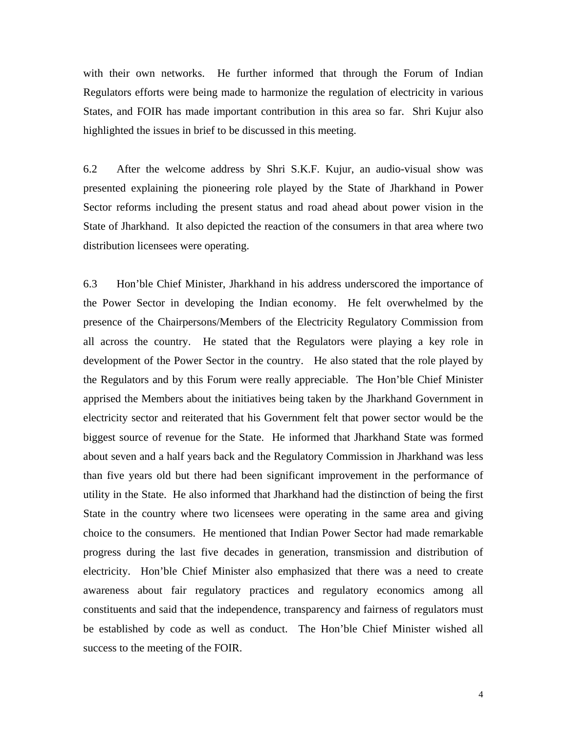with their own networks. He further informed that through the Forum of Indian Regulators efforts were being made to harmonize the regulation of electricity in various States, and FOIR has made important contribution in this area so far. Shri Kujur also highlighted the issues in brief to be discussed in this meeting.

6.2 After the welcome address by Shri S.K.F. Kujur, an audio-visual show was presented explaining the pioneering role played by the State of Jharkhand in Power Sector reforms including the present status and road ahead about power vision in the State of Jharkhand. It also depicted the reaction of the consumers in that area where two distribution licensees were operating.

6.3 Hon'ble Chief Minister, Jharkhand in his address underscored the importance of the Power Sector in developing the Indian economy. He felt overwhelmed by the presence of the Chairpersons/Members of the Electricity Regulatory Commission from all across the country. He stated that the Regulators were playing a key role in development of the Power Sector in the country. He also stated that the role played by the Regulators and by this Forum were really appreciable. The Hon'ble Chief Minister apprised the Members about the initiatives being taken by the Jharkhand Government in electricity sector and reiterated that his Government felt that power sector would be the biggest source of revenue for the State. He informed that Jharkhand State was formed about seven and a half years back and the Regulatory Commission in Jharkhand was less than five years old but there had been significant improvement in the performance of utility in the State. He also informed that Jharkhand had the distinction of being the first State in the country where two licensees were operating in the same area and giving choice to the consumers. He mentioned that Indian Power Sector had made remarkable progress during the last five decades in generation, transmission and distribution of electricity. Hon'ble Chief Minister also emphasized that there was a need to create awareness about fair regulatory practices and regulatory economics among all constituents and said that the independence, transparency and fairness of regulators must be established by code as well as conduct. The Hon'ble Chief Minister wished all success to the meeting of the FOIR.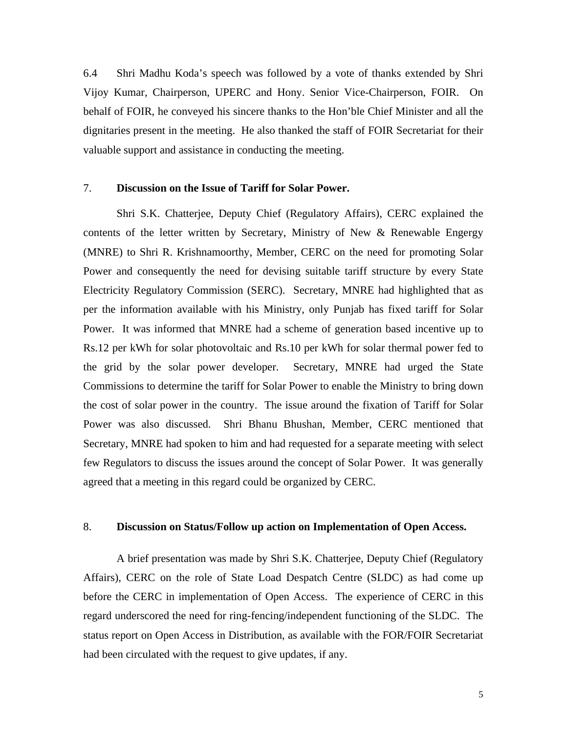6.4 Shri Madhu Koda's speech was followed by a vote of thanks extended by Shri Vijoy Kumar, Chairperson, UPERC and Hony. Senior Vice-Chairperson, FOIR. On behalf of FOIR, he conveyed his sincere thanks to the Hon'ble Chief Minister and all the dignitaries present in the meeting. He also thanked the staff of FOIR Secretariat for their valuable support and assistance in conducting the meeting.

#### 7. **Discussion on the Issue of Tariff for Solar Power.**

 Shri S.K. Chatterjee, Deputy Chief (Regulatory Affairs), CERC explained the contents of the letter written by Secretary, Ministry of New & Renewable Engergy (MNRE) to Shri R. Krishnamoorthy, Member, CERC on the need for promoting Solar Power and consequently the need for devising suitable tariff structure by every State Electricity Regulatory Commission (SERC). Secretary, MNRE had highlighted that as per the information available with his Ministry, only Punjab has fixed tariff for Solar Power. It was informed that MNRE had a scheme of generation based incentive up to Rs.12 per kWh for solar photovoltaic and Rs.10 per kWh for solar thermal power fed to the grid by the solar power developer. Secretary, MNRE had urged the State Commissions to determine the tariff for Solar Power to enable the Ministry to bring down the cost of solar power in the country. The issue around the fixation of Tariff for Solar Power was also discussed. Shri Bhanu Bhushan, Member, CERC mentioned that Secretary, MNRE had spoken to him and had requested for a separate meeting with select few Regulators to discuss the issues around the concept of Solar Power. It was generally agreed that a meeting in this regard could be organized by CERC.

#### 8. **Discussion on Status/Follow up action on Implementation of Open Access.**

 A brief presentation was made by Shri S.K. Chatterjee, Deputy Chief (Regulatory Affairs), CERC on the role of State Load Despatch Centre (SLDC) as had come up before the CERC in implementation of Open Access. The experience of CERC in this regard underscored the need for ring-fencing/independent functioning of the SLDC. The status report on Open Access in Distribution, as available with the FOR/FOIR Secretariat had been circulated with the request to give updates, if any.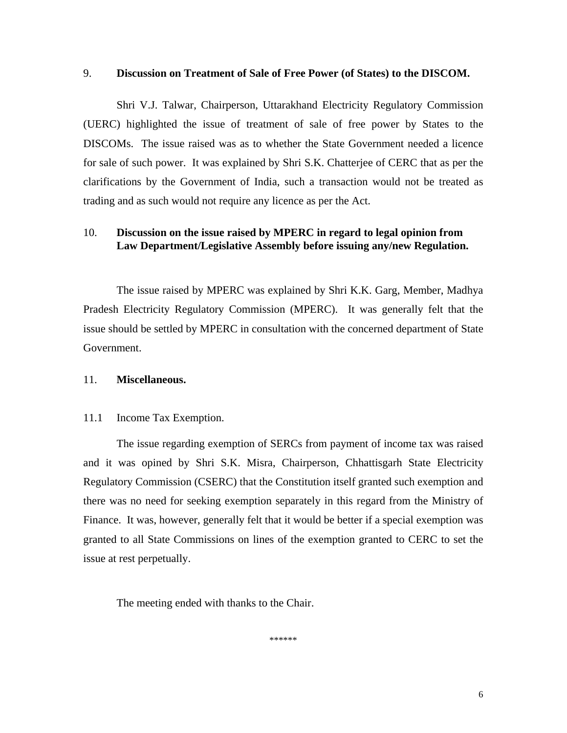#### 9. **Discussion on Treatment of Sale of Free Power (of States) to the DISCOM.**

Shri V.J. Talwar, Chairperson, Uttarakhand Electricity Regulatory Commission (UERC) highlighted the issue of treatment of sale of free power by States to the DISCOMs. The issue raised was as to whether the State Government needed a licence for sale of such power. It was explained by Shri S.K. Chatterjee of CERC that as per the clarifications by the Government of India, such a transaction would not be treated as trading and as such would not require any licence as per the Act.

#### 10. **Discussion on the issue raised by MPERC in regard to legal opinion from Law Department/Legislative Assembly before issuing any/new Regulation.**

The issue raised by MPERC was explained by Shri K.K. Garg, Member, Madhya Pradesh Electricity Regulatory Commission (MPERC). It was generally felt that the issue should be settled by MPERC in consultation with the concerned department of State Government.

#### 11. **Miscellaneous.**

#### 11.1 Income Tax Exemption.

The issue regarding exemption of SERCs from payment of income tax was raised and it was opined by Shri S.K. Misra, Chairperson, Chhattisgarh State Electricity Regulatory Commission (CSERC) that the Constitution itself granted such exemption and there was no need for seeking exemption separately in this regard from the Ministry of Finance. It was, however, generally felt that it would be better if a special exemption was granted to all State Commissions on lines of the exemption granted to CERC to set the issue at rest perpetually.

The meeting ended with thanks to the Chair.

\*\*\*\*\*\*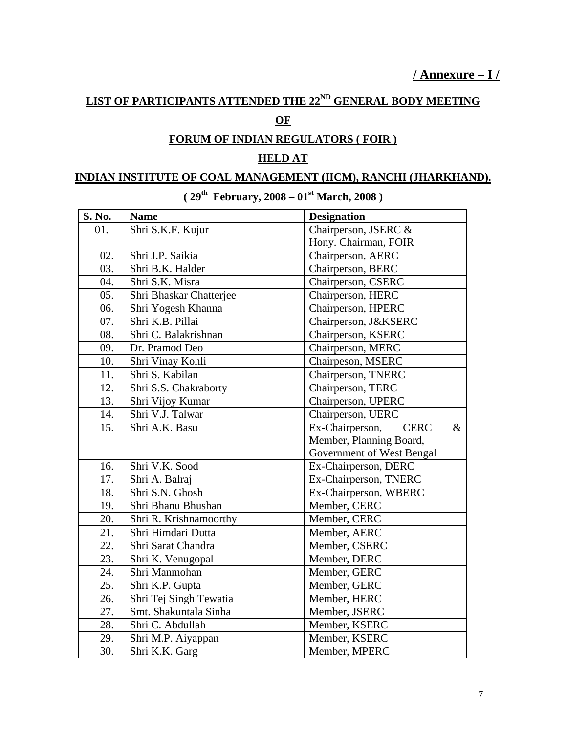# **LIST OF PARTICIPANTS ATTENDED THE 22ND GENERAL BODY MEETING**

## **OF**

## **FORUM OF INDIAN REGULATORS ( FOIR )**

## **HELD AT**

### **INDIAN INSTITUTE OF COAL MANAGEMENT (IICM), RANCHI (JHARKHAND).**

| S. No.            | <b>Name</b>             | <b>Designation</b>                     |
|-------------------|-------------------------|----------------------------------------|
| 01.               | Shri S.K.F. Kujur       | Chairperson, JSERC &                   |
|                   |                         | Hony. Chairman, FOIR                   |
| 02.               | Shri J.P. Saikia        | Chairperson, AERC                      |
| 03.               | Shri B.K. Halder        | Chairperson, BERC                      |
| 04.               | Shri S.K. Misra         | Chairperson, CSERC                     |
| 05.               | Shri Bhaskar Chatterjee | Chairperson, HERC                      |
| 06.               | Shri Yogesh Khanna      | Chairperson, HPERC                     |
| 07.               | Shri K.B. Pillai        | Chairperson, J&KSERC                   |
| 08.               | Shri C. Balakrishnan    | Chairperson, KSERC                     |
| 09.               | Dr. Pramod Deo          | Chairperson, MERC                      |
| 10.               | Shri Vinay Kohli        | Chairpeson, MSERC                      |
| 11.               | Shri S. Kabilan         | Chairperson, TNERC                     |
| 12.               | Shri S.S. Chakraborty   | Chairperson, TERC                      |
| 13.               | Shri Vijoy Kumar        | Chairperson, UPERC                     |
| 14.               | Shri V.J. Talwar        | Chairperson, UERC                      |
| 15.               | Shri A.K. Basu          | Ex-Chairperson,<br><b>CERC</b><br>$\&$ |
|                   |                         | Member, Planning Board,                |
|                   |                         | Government of West Bengal              |
| 16.               | Shri V.K. Sood          | Ex-Chairperson, DERC                   |
| 17.               | Shri A. Balraj          | Ex-Chairperson, TNERC                  |
| 18.               | Shri S.N. Ghosh         | Ex-Chairperson, WBERC                  |
| 19.               | Shri Bhanu Bhushan      | Member, CERC                           |
| 20.               | Shri R. Krishnamoorthy  | Member, CERC                           |
| 21.               | Shri Himdari Dutta      | Member, AERC                           |
| 22.               | Shri Sarat Chandra      | Member, CSERC                          |
| 23.               | Shri K. Venugopal       | Member, DERC                           |
| 24.               | Shri Manmohan           | Member, GERC                           |
| 25.               | Shri K.P. Gupta         | Member, GERC                           |
| 26.               | Shri Tej Singh Tewatia  | Member, HERC                           |
| 27.               | Smt. Shakuntala Sinha   | Member, JSERC                          |
| 28.               | Shri C. Abdullah        | Member, KSERC                          |
| 29.               | Shri M.P. Aiyappan      | Member, KSERC                          |
| $\overline{30}$ . | Shri K.K. Garg          | Member, MPERC                          |

## **( 29th February, 2008 – 01st March, 2008 )**